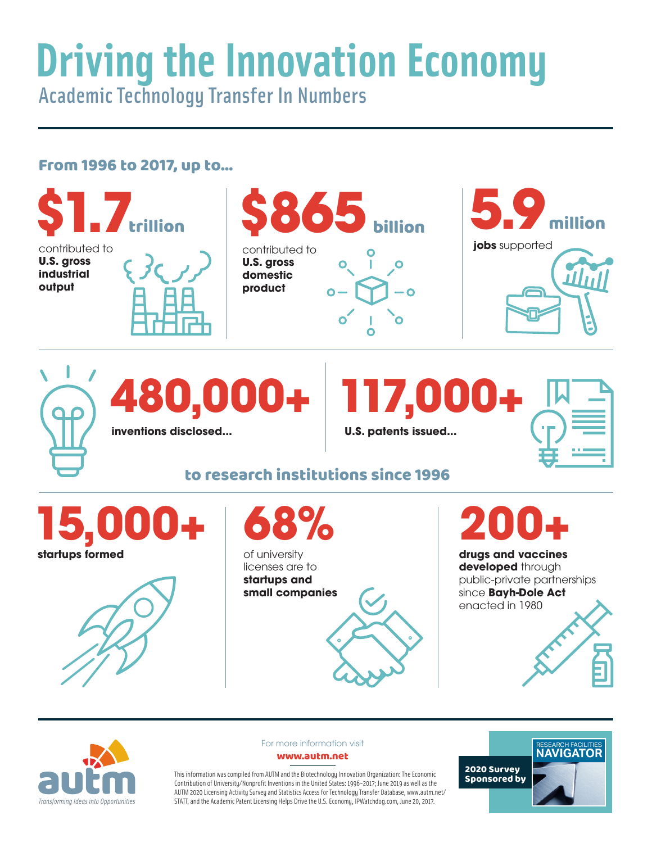## **Driving the Innovation Economy** Academic Technology Transfer In Numbers

## From 1996 to 2017, up to...





For more information visit www.autm.net

This information was compiled from AUTM and the Biotechnology Innovation Organization: The Economic Contribution of University/Nonprofit Inventions in the United States: 1996-2017; June 2019 as well as the AUTM 2020 Licensing Activity Survey and Statistics Access for Technology Transfer Database, www.autm.net/ STATT, and the Academic Patent Licensing Helps Drive the U.S. Economy, IPWatchdog.com, June 20, 2017.

RESEARCH FACILITIES 2020 Survey Sponsored by